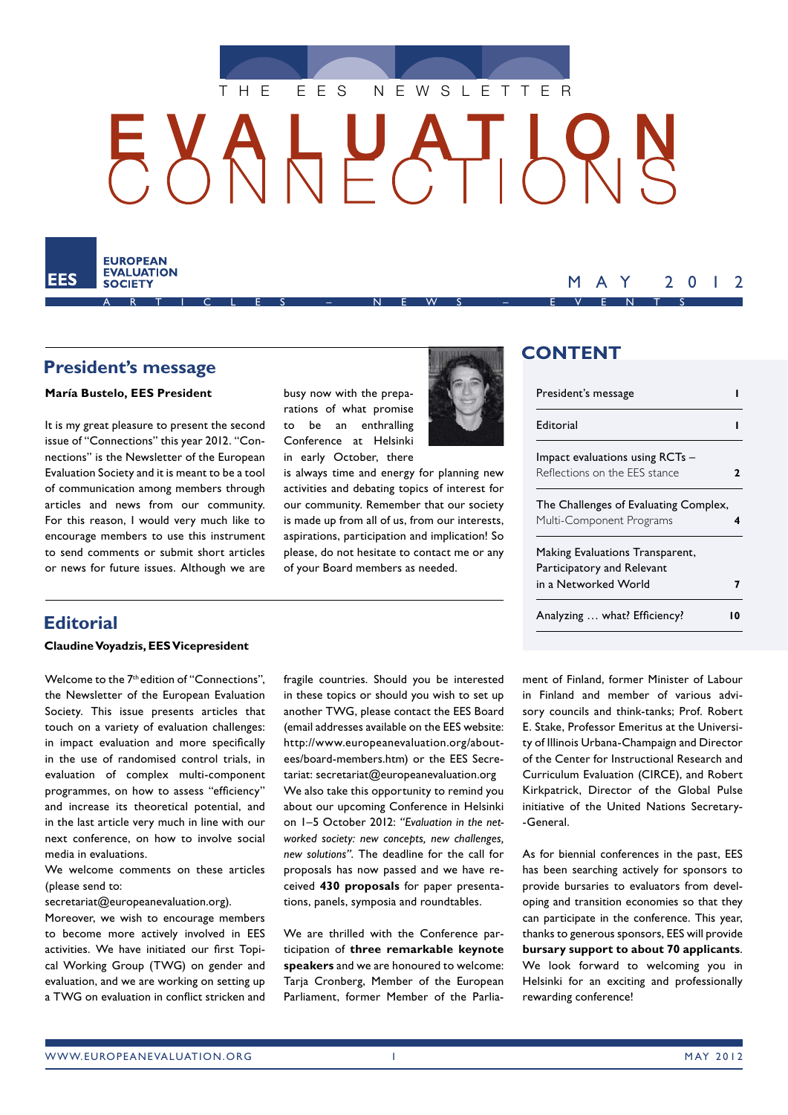



### **President's message**

#### **María Bustelo, EES President**

It is my great pleasure to present the second issue of "Connections" this year 2012. "Connections" is the Newsletter of the European Evaluation Society and it is meant to be a tool of communication among members through articles and news from our community. For this reason, I would very much like to encourage members to use this instrument to send comments or submit short articles or news for future issues. Although we are

### rations of what promise to be an enthralling Conference at Helsinki in early October, there is always time and energy for planning new

busy now with the prepa-

activities and debating topics of interest for our community. Remember that our society is made up from all of us, from our interests, aspirations, participation and implication! So please, do not hesitate to contact me or any of your Board members as needed.



# **CONTENT**

| President's message                   |   |
|---------------------------------------|---|
| Editorial                             |   |
| Impact evaluations using RCTs -       |   |
| Reflections on the FFS stance         | 7 |
| The Challenges of Evaluating Complex, |   |
| Multi-Component Programs              | 4 |
| Making Evaluations Transparent,       |   |
| Participatory and Relevant            |   |
| in a Networked World                  |   |
| Analyzing  what? Efficiency?          |   |

MAY 2012

### **Editorial**

#### **Claudine Voyadzis, EES Vicepresident**

Welcome to the 7th edition of "Connections", the Newsletter of the European Evaluation Society. This issue presents articles that touch on a variety of evaluation challenges: in impact evaluation and more specifically in the use of randomised control trials, in evaluation of complex multi-component programmes, on how to assess "efficiency" and increase its theoretical potential, and in the last article very much in line with our next conference, on how to involve social media in evaluations.

We welcome comments on these articles (please send to:

secretariat@europeanevaluation.org).

Moreover, we wish to encourage members to become more actively involved in EES activities. We have initiated our first Topical Working Group (TWG) on gender and evaluation, and we are working on setting up a TWG on evaluation in conflict stricken and fragile countries. Should you be interested in these topics or should you wish to set up another TWG, please contact the EES Board (email addresses available on the EES website: http://www.europeanevaluation.org/aboutees/board-members.htm) or the EES Secretariat: secretariat@europeanevaluation.org We also take this opportunity to remind you about our upcoming Conference in Helsinki on 1–5 October 2012: *"Evaluation in the networked society: new concepts, new challenges, new solutions"*. The deadline for the call for proposals has now passed and we have received **430 proposals** for paper presentations, panels, symposia and roundtables.

We are thrilled with the Conference participation of **three remarkable keynote speakers** and we are honoured to welcome: Taria Cronberg, Member of the European Parliament, former Member of the Parliament of Finland, former Minister of Labour in Finland and member of various advisory councils and think-tanks; Prof. Robert E. Stake, Professor Emeritus at the University of Illinois Urbana-Champaign and Director of the Center for Instructional Research and Curriculum Evaluation (CIRCE), and Robert Kirkpatrick, Director of the Global Pulse initiative of the United Nations Secretary- -General.

As for biennial conferences in the past, EES has been searching actively for sponsors to provide bursaries to evaluators from developing and transition economies so that they can participate in the conference. This year, thanks to generous sponsors, EES will provide **bursary support to about 70 applicants**. We look forward to welcoming you in Helsinki for an exciting and professionally rewarding conference!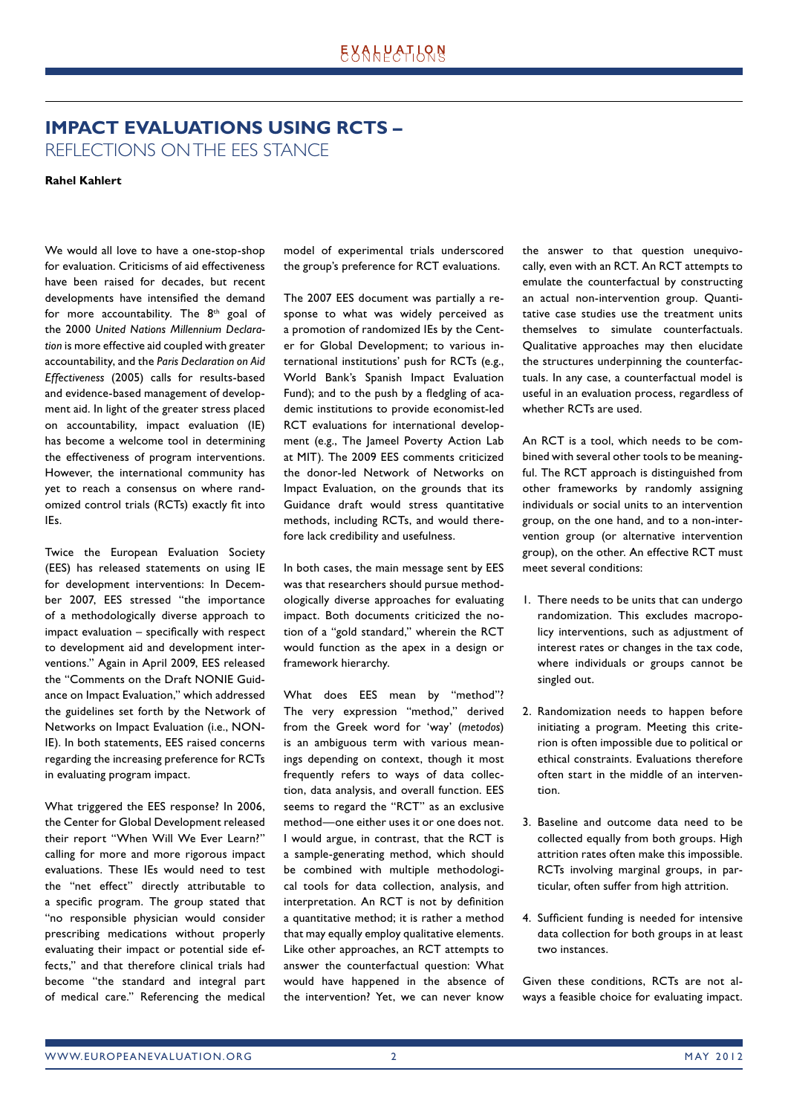# **IMPACT EVALUATIONS USING RCTS –** REFLECTIONS ON THE EES STANCE

**Rahel Kahlert**

We would all love to have a one-stop-shop for evaluation. Criticisms of aid effectiveness have been raised for decades, but recent developments have intensified the demand for more accountability. The  $8<sup>th</sup>$  goal of the 2000 *United Nations Millennium Declaration* is more effective aid coupled with greater accountability, and the *Paris Declaration on Aid Effectiveness* (2005) calls for results-based and evidence-based management of development aid. In light of the greater stress placed on accountability, impact evaluation (IE) has become a welcome tool in determining the effectiveness of program interventions. However, the international community has yet to reach a consensus on where randomized control trials (RCTs) exactly fit into IEs.

Twice the European Evaluation Society (EES) has released statements on using IE for development interventions: In December 2007, EES stressed "the importance of a methodologically diverse approach to  $im$  act evaluation  $-$  specifically with respect to development aid and development interventions." Again in April 2009, EES released the "Comments on the Draft NONIE Guidance on Impact Evaluation," which addressed the guidelines set forth by the Network of Networks on Impact Evaluation (i.e., NON-IE). In both statements, EES raised concerns regarding the increasing preference for RCTs in evaluating program impact.

What triggered the EES response? In 2006, the Center for Global Development released their report "When Will We Ever Learn?" calling for more and more rigorous impact evaluations. These IEs would need to test the "net effect" directly attributable to a specific program. The group stated that "no responsible physician would consider prescribing medications without properly evaluating their impact or potential side effects," and that therefore clinical trials had become "the standard and integral part of medical care." Referencing the medical model of experimental trials underscored the group's preference for RCT evaluations.

The 2007 EES document was partially a response to what was widely perceived as a promotion of randomized IEs by the Center for Global Development; to various international institutions' push for RCTs (e.g., World Bank's Spanish Impact Evaluation Fund); and to the push by a fledgling of academic institutions to provide economist-led RCT evaluations for international development (e.g., The Jameel Poverty Action Lab at MIT). The 2009 EES comments criticized the donor-led Network of Networks on Impact Evaluation, on the grounds that its Guidance draft would stress quantitative methods, including RCTs, and would therefore lack credibility and usefulness.

In both cases, the main message sent by EES was that researchers should pursue methodologically diverse approaches for evaluating impact. Both documents criticized the notion of a "gold standard," wherein the RCT would function as the apex in a design or framework hierarchy.

What does EES mean by "method"? The very expression "method," derived from the Greek word for 'way' (*metodos*) is an ambiguous term with various meanings depending on context, though it most frequently refers to ways of data collection, data analysis, and overall function. EES seems to regard the "RCT" as an exclusive method—one either uses it or one does not. I would argue, in contrast, that the RCT is a sample-generating method, which should be combined with multiple methodological tools for data collection, analysis, and interpretation. An RCT is not by definition a quantitative method; it is rather a method that may equally employ qualitative elements. Like other approaches, an RCT attempts to answer the counterfactual question: What would have happened in the absence of the intervention? Yet, we can never know

the answer to that question unequivocally, even with an RCT. An RCT attempts to emulate the counterfactual by constructing an actual non-intervention group. Quantitative case studies use the treatment units themselves to simulate counterfactuals. Qualitative approaches may then elucidate the structures underpinning the counterfactuals. In any case, a counterfactual model is useful in an evaluation process, regardless of whether RCTs are used.

An RCT is a tool, which needs to be combined with several other tools to be meaningful. The RCT approach is distinguished from other frameworks by randomly assigning individuals or social units to an intervention group, on the one hand, and to a non-intervention group (or alternative intervention group), on the other. An effective RCT must meet several conditions:

- 1. There needs to be units that can undergo randomization. This excludes macropolicy interventions, such as adjustment of interest rates or changes in the tax code, where individuals or groups cannot be singled out.
- 2. Randomization needs to happen before initiating a program. Meeting this criterion is often impossible due to political or ethical constraints. Evaluations therefore often start in the middle of an intervention.
- 3. Baseline and outcome data need to be collected equally from both groups. High attrition rates often make this impossible. RCTs involving marginal groups, in particular, often suffer from high attrition.
- 4. Sufficient funding is needed for intensive data collection for both groups in at least two instances.

Given these conditions, RCTs are not always a feasible choice for evaluating impact.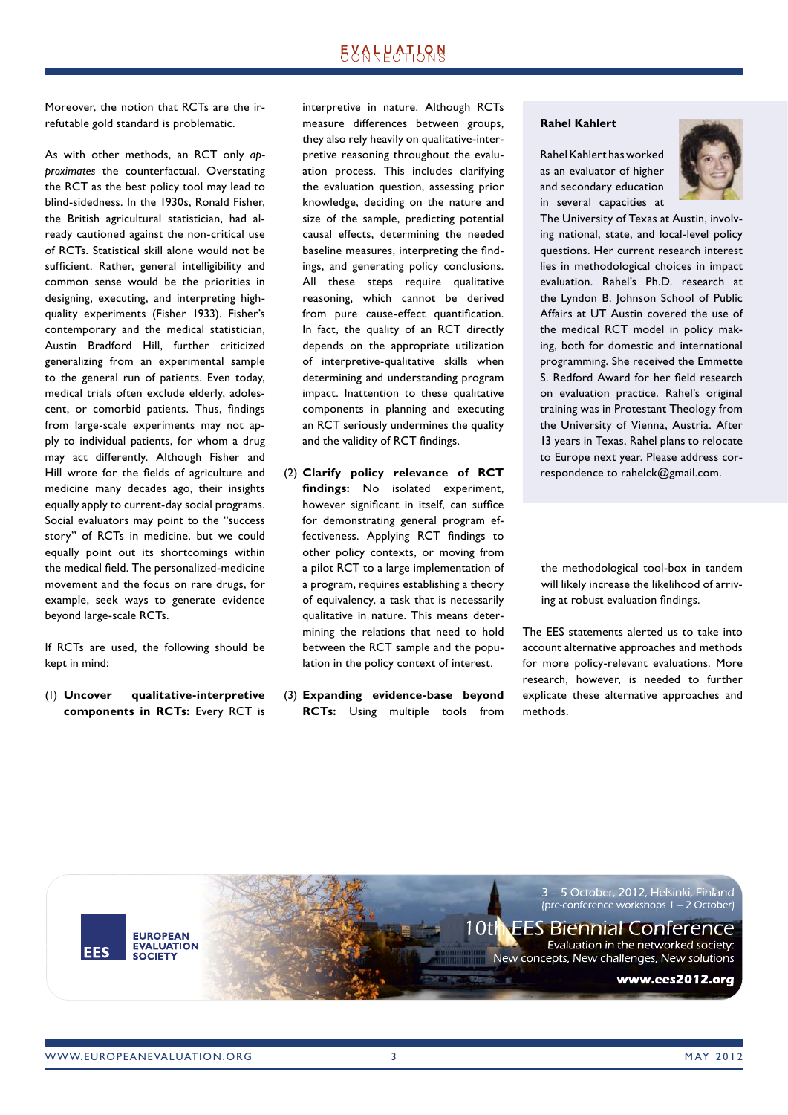Moreover, the notion that RCTs are the irrefutable gold standard is problematic.

As with other methods, an RCT only *approximates* the counterfactual. Overstating the RCT as the best policy tool may lead to blind-sidedness. In the 1930s, Ronald Fisher, the British agricultural statistician, had already cautioned against the non-critical use of RCTs. Statistical skill alone would not be sufficient. Rather, general intelligibility and common sense would be the priorities in designing, executing, and interpreting highquality experiments (Fisher 1933). Fisher's contemporary and the medical statistician, Austin Bradford Hill, further criticized generalizing from an experimental sample to the general run of patients. Even today, medical trials often exclude elderly, adolescent, or comorbid patients. Thus, findings from large-scale experiments may not apply to individual patients, for whom a drug may act differently. Although Fisher and Hill wrote for the fields of agriculture and medicine many decades ago, their insights equally apply to current-day social programs. Social evaluators may point to the "success story" of RCTs in medicine, but we could equally point out its shortcomings within the medical field. The personalized-medicine movement and the focus on rare drugs, for example, seek ways to generate evidence beyond large-scale RCTs.

If RCTs are used, the following should be kept in mind:

(1) **Uncover qualitative-interpretive com ponents in RCTs:** Every RCT is interpretive in nature. Although RCTs measure differences between groups, they also rely heavily on qualitative-interpretive reasoning throughout the evaluation process. This includes clarifying the evaluation question, assessing prior knowledge, deciding on the nature and size of the sample, predicting potential causal effects, determining the needed baseline measures, interpreting the findings, and generating policy conclusions. All these steps require qualitative reasoning, which cannot be derived from pure cause-effect quantification. In fact, the quality of an RCT directly depends on the appropriate utilization of interpretive-qualitative skills when determining and understanding program impact. Inattention to these qualitative components in planning and executing an RCT seriously undermines the quality and the validity of RCT findings.

- (2) **Clarify policy relevance of RCT**  findings: No isolated experiment, however significant in itself, can suffice for demonstrating general program effectiveness. Applying RCT findings to other policy contexts, or moving from a pilot RCT to a large implementation of a program, requires establishing a theory of equivalency, a task that is necessarily qualitative in nature. This means determining the relations that need to hold between the RCT sample and the population in the policy context of interest.
- (3) **Expanding evidence-base beyond RCTs:** Using multiple tools from

#### **Rahel Kahlert**

Rahel Kahlert has worked as an evaluator of higher and secondary education in se veral capacities at



The University of Texas at Austin, involving national, state, and local-level policy questions. Her current research interest lies in methodological choices in impact evaluation. Rahel's Ph.D. research at the Lyndon B. Johnson School of Public Affairs at UT Austin covered the use of the medical RCT model in policy making, both for domestic and international programming. She received the Emmette S. Redford Award for her field research on evaluation practice. Rahel's original training was in Protestant Theology from the University of Vienna, Austria. After 13 years in Texas, Rahel plans to relocate to Europe next year. Please address correspondence to rahelck@gmail.com.

the methodological tool-box in tandem will likely increase the likelihood of arriving at robust evaluation findings.

The EES statements alerted us to take into account alternative approaches and methods for more policy-relevant evaluations. More research, however, is needed to further explicate these alternative approaches and methods.

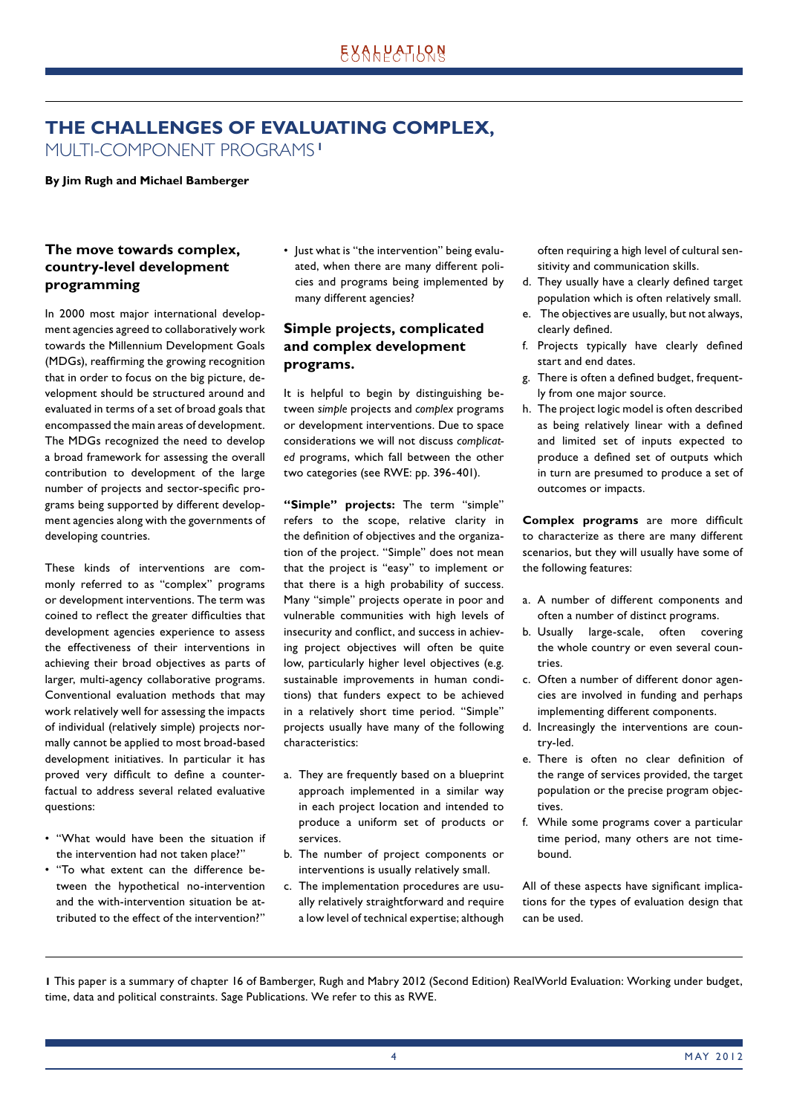# **THE CHALLENGES OF EVALUATING COMPLEX,** MULTI-COMPONENT PROGRAMS **<sup>1</sup>**

**By Jim Rugh and Michael Bamberger**

### **The move towards complex, country-level development programming**

In 2000 most major international development agencies agreed to collaboratively work towards the Millennium Development Goals (MDGs), reaffirming the growing recognition that in order to focus on the big picture, development should be structured around and evaluated in terms of a set of broad goals that encompassed the main areas of development. The MDGs recognized the need to develop a broad framework for assessing the overall contribution to development of the large number of projects and sector-specific programs being supported by different development agencies along with the governments of developing countries.

These kinds of interventions are commonly referred to as "complex" programs or development interventions. The term was coined to reflect the greater difficulties that development agencies experience to assess the effectiveness of their interventions in achieving their broad objectives as parts of larger, multi-agency collaborative programs. Conventional evaluation methods that may work relatively well for assessing the impacts of individual (relatively simple) projects normally cannot be applied to most broad-based development initiatives. In particular it has proved very difficult to define a counterfactual to address several related evaluative questions:

- "What would have been the situation if the intervention had not taken place?"
- "To what extent can the difference between the hypothetical no-intervention and the with-intervention situation be attributed to the effect of the intervention?"

• Just what is "the intervention" being evaluated, when there are many different policies and programs being implemented by many different agencies?

### **Simple projects, complicated and complex development programs.**

It is helpful to begin by distinguishing between *simple* projects and *complex* programs or development interventions. Due to space considerations we will not discuss *complicated* programs, which fall between the other two categories (see RWE: pp. 396-401).

**"Simple" projects:** The term "simple" refers to the scope, relative clarity in the definition of objectives and the organization of the project. "Simple" does not mean that the project is "easy" to implement or that there is a high probability of success. Many "simple" projects operate in poor and vulnerable communities with high levels of insecurity and conflict, and success in achieving project objectives will often be quite low, particularly higher level objectives (e.g. sustainable improvements in human conditions) that funders expect to be achieved in a relatively short time period. "Simple" projects usually have many of the following characteristics:

- a. They are frequently based on a blueprint approach implemented in a similar way in each project location and intended to produce a uniform set of products or services.
- b. The number of project components or interventions is usually relatively small.
- c. The implementation procedures are usually relatively straightforward and require a low level of technical expertise; although

often requiring a high level of cultural sensitivity and communication skills.

- d. They usually have a clearly defined target population which is often relatively small.
- e. The objectives are usually, but not always, clearly defined.
- f. Projects typically have clearly defined start and end dates.
- g. There is often a defined budget, frequently from one major source.
- h. The project logic model is often described as being relatively linear with a defined and limited set of inputs expected to produce a defined set of outputs which in turn are presumed to produce a set of outcomes or impacts.

**Complex programs** are more difficult to characterize as there are many different scenarios, but they will usually have some of the following features:

- a. A number of different components and often a number of distinct programs.
- b. Usually large-scale, often covering the whole country or even several countries
- c. Often a number of different donor agencies are involved in funding and perhaps implementing different components.
- d. Increasingly the interventions are country-led.
- e. There is often no clear definition of the range of services provided, the target population or the precise program objectives.
- f. While some programs cover a particular time period, many others are not timebound.

All of these aspects have significant implications for the types of evaluation design that can be used.

**1** This paper is a summary of chapter 16 of Bamberger, Rugh and Mabry 2012 (Second Edition) RealWorld Evaluation: Working under budget, time, data and political constraints. Sage Publications. We refer to this as RWE.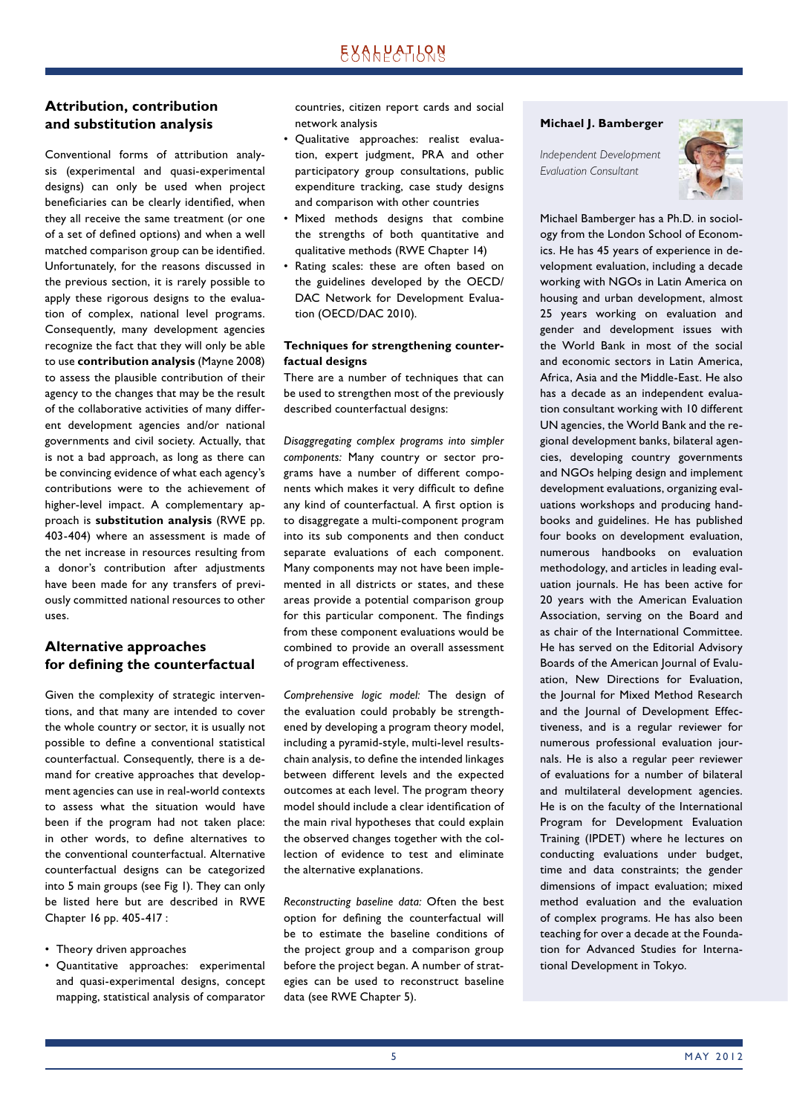### **Attribution, contribution and substitution analysis**

Conventional forms of attribution analysis (experimental and quasi-experimental designs) can only be used when project beneficiaries can be clearly identified, when they all receive the same treatment (or one of a set of defined options) and when a well matched comparison group can be identified. Unfortunately, for the reasons discussed in the previous section, it is rarely possible to apply these rigorous designs to the evaluation of complex, national level programs. Consequently, many development agencies recognize the fact that they will only be able to use **contribution analysis** (Mayne 2008) to assess the plausible contribution of their agency to the changes that may be the result of the collaborative activities of many different development agencies and/or national governments and civil society. Actually, that is not a bad approach, as long as there can be convincing evidence of what each agency's contributions were to the achievement of higher-level impact. A complementary approach is **substitution analysis** (RWE pp. 403-404) where an assessment is made of the net increase in resources resulting from a donor's contribution after adjustments have been made for any transfers of previously committed national resources to other uses.

### **Alternative approaches**  for defining the counterfactual

Given the complexity of strategic interventions, and that many are intended to cover the whole country or sector, it is usually not possible to define a conventional statistical counterfactual. Consequently, there is a demand for creative approaches that development agencies can use in real-world contexts to assess what the situation would have been if the program had not taken place: in other words, to define alternatives to the conventional counterfactual. Alternative counterfactual designs can be categorized into 5 main groups (see Fig 1). They can only be listed here but are described in RWE Chapter 16 pp. 405-417 :

- Theory driven approaches
- Quantitative approaches: experimental and quasi-experimental designs, concept mapping, statistical analysis of comparator

countries, citizen report cards and social network analysis

- Qualitative approaches: realist evaluation, expert judgment, PRA and other participatory group consultations, public expenditure tracking, case study designs and comparison with other countries
- Mixed methods designs that combine the strengths of both quantitative and qualitative methods (RWE Chapter 14)
- Rating scales: these are often based on the guidelines developed by the OECD/ DAC Network for Development Evaluation (OECD/DAC 2010).

### **Techniques for strengthening counterfactual designs**

There are a number of techniques that can be used to strengthen most of the previously described counterfactual designs:

*Disaggregating complex programs into simpler components:* Many country or sector programs have a number of different components which makes it very difficult to define any kind of counterfactual. A first option is to disaggregate a multi-component program into its sub components and then conduct separate evaluations of each component. Many components may not have been implemented in all districts or states, and these areas provide a potential comparison group for this particular component. The findings from these component evaluations would be combined to provide an overall assessment of program effectiveness.

*Comprehensive logic model:* The design of the evaluation could probably be strengthened by developing a program theory model, including a pyramid-style, multi-level resultschain analysis, to define the intended linkages between different levels and the expected outcomes at each level. The program theory model should include a clear identification of the main rival hypotheses that could explain the observed changes together with the collection of evidence to test and eliminate the alternative explanations.

*Reconstructing baseline data:* Often the best option for defining the counterfactual will be to estimate the baseline conditions of the project group and a comparison group before the project began. A number of strategies can be used to reconstruct baseline data (see RWE Chapter 5).

### **Michael J. Bamberger**

*Independent Development Evaluation Consultant*



Michael Bamberger has a Ph.D. in sociology from the London School of Economics. He has 45 years of experience in development evaluation, including a decade working with NGOs in Latin America on housing and urban development, almost 25 years working on evaluation and gender and development issues with the World Bank in most of the social and economic sectors in Latin America, Africa, Asia and the Middle-East. He also has a decade as an independent evaluation consultant working with 10 different UN agencies, the World Bank and the regional development banks, bilateral agencies, developing country governments and NGOs helping design and implement development evaluations, organizing evaluations workshops and producing handbooks and guidelines. He has published four books on development evaluation, numerous handbooks on evaluation methodology, and articles in leading evaluation journals. He has been active for 20 years with the American Evaluation Association, serving on the Board and as chair of the International Committee. He has served on the Editorial Advisory Boards of the American Journal of Evaluation, New Directions for Evaluation, the Journal for Mixed Method Research and the Journal of Development Effectiveness, and is a regular reviewer for numerous professional evaluation journals. He is also a regular peer reviewer of evaluations for a number of bilateral and multilateral development agencies. He is on the faculty of the International Program for Development Evaluation Training (IPDET) where he lectures on conducting evaluations under budget, time and data constraints; the gender dimensions of impact evaluation; mixed method evaluation and the evaluation of complex programs. He has also been teaching for over a decade at the Foundation for Advanced Studies for International Development in Tokyo.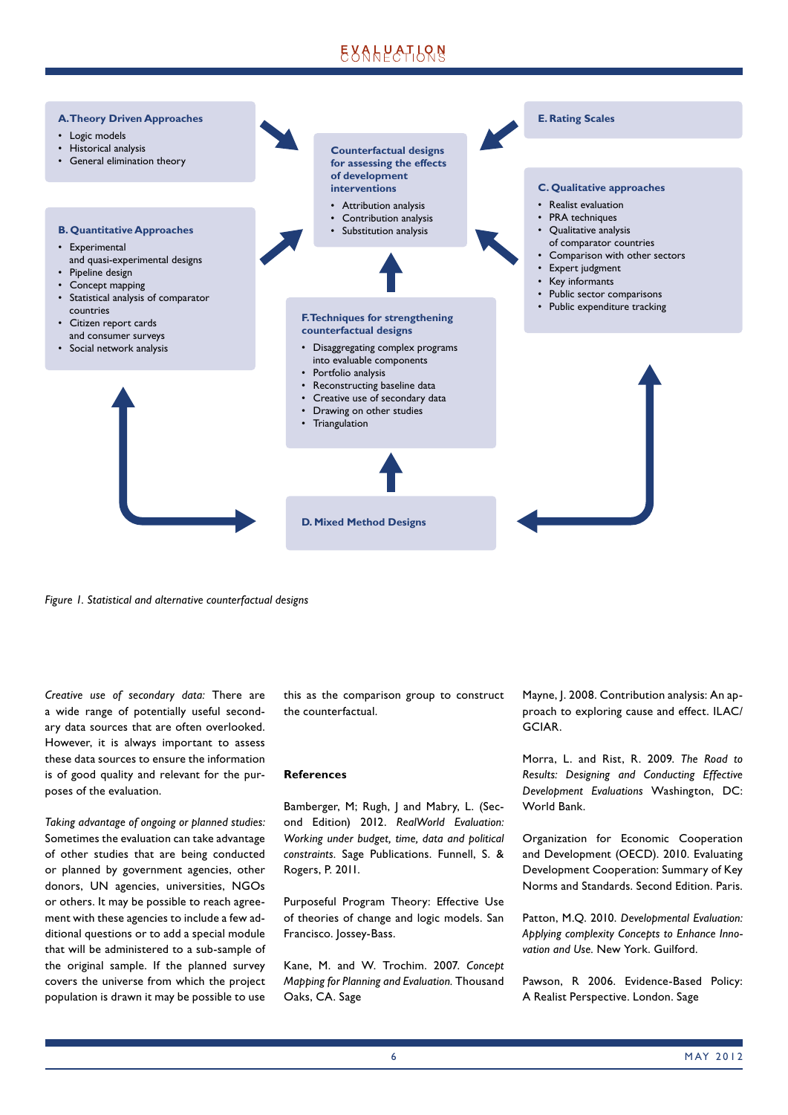# EXALPATLRN



*Figure 1. Statistical and alternative counterfactual designs*

*Creative use of secondary data:* There are a wide range of potentially useful secondary data sources that are often overlooked. However, it is always important to assess these data sources to ensure the information is of good quality and relevant for the purposes of the evaluation.

*Taking advantage of ongoing or planned studies:* Sometimes the evaluation can take advantage of other studies that are being conducted or planned by government agencies, other donors, UN agencies, universities, NGOs or others. It may be possible to reach agreement with these agencies to include a few additional questions or to add a special module that will be administered to a sub-sample of the original sample. If the planned survey covers the universe from which the project population is drawn it may be possible to use this as the comparison group to construct the counterfactual.

#### **References**

Bamberger, M; Rugh, J and Mabry, L. (Second Edition) 2012. *RealWorld Evaluation: Working under budget, time, data and political constraints.* Sage Publications. Funnell, S. & Rogers, P. 2011.

Purposeful Program Theory: Effective Use of theories of change and logic models. San Francisco. Jossey-Bass.

Kane, M. and W. Trochim. 2007. *Concept Mapping for Planning and Evaluation.* Thousand Oaks, CA. Sage

Mayne, J. 2008. Contribution analysis: An approach to exploring cause and effect. ILAC/ GCIAR.

Morra, L. and Rist, R. 2009. *The Road to Results: Designing and Conducting Effective Development Evaluations* Washington, DC: World Bank.

Organization for Economic Cooperation and Development (OECD). 2010. Evaluating Development Cooperation: Summary of Key Norms and Standards. Second Edition. Paris.

Patton, M.Q. 2010. *Developmental Evaluation: Applying complexity Concepts to Enhance Innovation and Use.* New York. Guilford.

Pawson, R 2006. Evidence-Based Policy: A Realist Perspective. London. Sage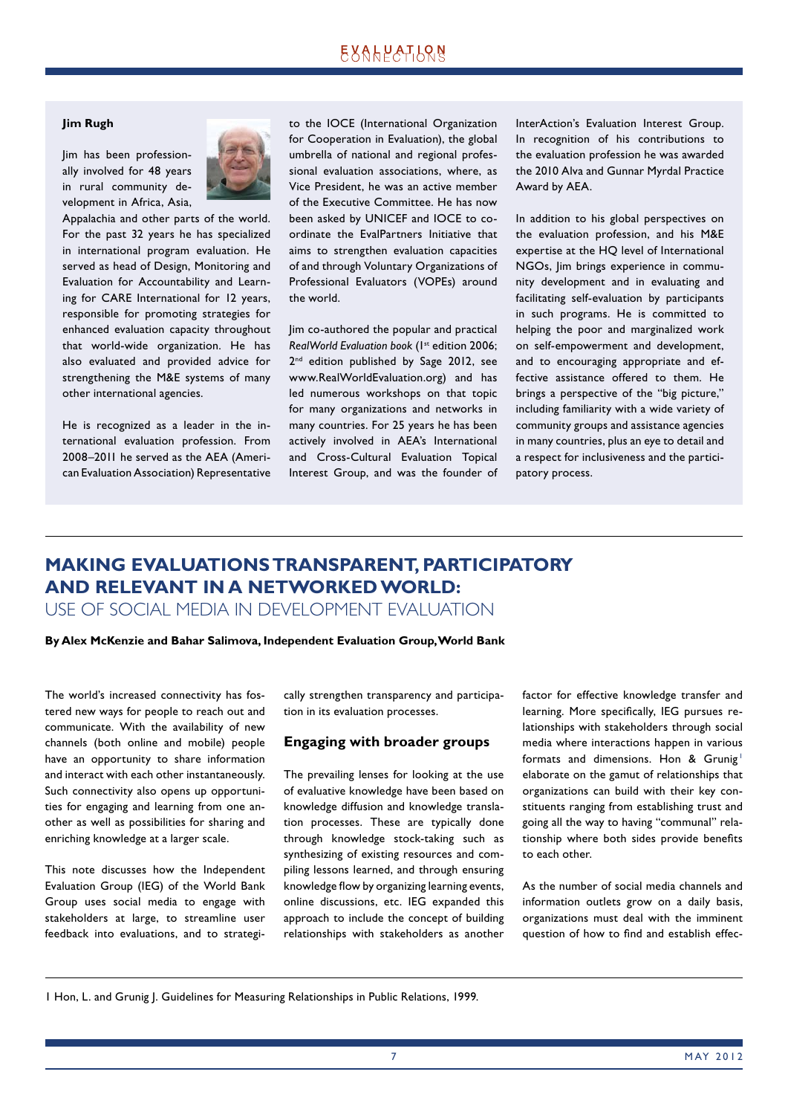### EXALPATLRN

### **Jim Rugh**

Jim has been professionally involved for 48 years in rural community development in Africa, Asia,



Appalachia and other parts of the world. For the past 32 years he has specialized in international program evaluation. He served as head of Design, Monitoring and Evaluation for Accountability and Learning for CARE International for 12 years, responsible for promoting strategies for enhanced evaluation capacity throughout that world-wide organization. He has also evaluated and provided advice for strengthening the M&E systems of many other international agencies.

He is recognized as a leader in the international evaluation profession. From 2008–2011 he served as the AEA (American Evaluation Association) Representative

to the IOCE (International Organization for Cooperation in Evaluation), the global umbrella of national and regional professional evaluation associations, where, as Vice President, he was an active member of the Executive Committee. He has now been asked by UNICEF and IOCE to coordinate the EvalPartners Initiative that aims to strengthen evaluation capacities of and through Voluntary Organizations of Professional Evaluators (VOPEs) around the world.

Jim co-authored the popular and practical *RealWorld Evaluation book* (1st edition 2006; 2<sup>nd</sup> edition published by Sage 2012, see www.RealWorldEvaluation.org) and has led numerous workshops on that topic for many organizations and networks in many countries. For 25 years he has been actively involved in AEA's International and Cross-Cultural Evaluation Topical Interest Group, and was the founder of InterAction's Evaluation Interest Group. In recognition of his contributions to the evaluation profession he was awarded the 2010 Alva and Gunnar Myrdal Practice Award by AEA.

In addition to his global perspectives on the evaluation profession, and his M&E expertise at the HQ level of International NGOs, Jim brings experience in community development and in evaluating and facilitating self-evaluation by participants in such programs. He is committed to helping the poor and marginalized work on self-empowerment and development, and to encouraging appropriate and effective assistance offered to them. He brings a perspective of the "big picture," including familiarity with a wide variety of community groups and assistance agencies in many countries, plus an eye to detail and a respect for inclusiveness and the participatory process.

### **MAKING EVALUATIONS TRANSPARENT, PARTICIPATORY AND RELEVANT IN A NETWORKED WORLD:**  USE OF SOCIAL MEDIA IN DEVELOPMENT EVALUATION

**By Alex McKenzie and Bahar Salimova, Independent Evaluation Group, World Bank**

The world's increased connectivity has fostered new ways for people to reach out and communicate. With the availability of new channels (both online and mobile) people have an opportunity to share information and interact with each other instantaneously. Such connectivity also opens up opportunities for engaging and learning from one another as well as possibilities for sharing and enriching knowledge at a larger scale.

This note discusses how the Independent Evaluation Group (IEG) of the World Bank Group uses social media to engage with stakeholders at large, to streamline user feedback into evaluations, and to strategically strengthen transparency and participation in its evaluation processes.

#### **Engaging with broader groups**

The prevailing lenses for looking at the use of evaluative knowledge have been based on knowledge diffusion and knowledge translation processes. These are typically done through knowledge stock-taking such as synthesizing of existing resources and compiling lessons learned, and through ensuring knowledge flow by organizing learning events, online discussions, etc. IEG expanded this approach to include the concept of building relationships with stakeholders as another

factor for effective knowledge transfer and learning. More specifically, IEG pursues relationships with stakeholders through social media where interactions happen in various formats and dimensions. Hon & Grunig elaborate on the gamut of relationships that organizations can build with their key constituents ranging from establishing trust and going all the way to having "communal" relationship where both sides provide benefits to each other.

As the number of social media channels and information outlets grow on a daily basis, organizations must deal with the imminent question of how to find and establish effec-

1 Hon, L. and Grunig J. Guidelines for Measuring Relationships in Public Relations, 1999.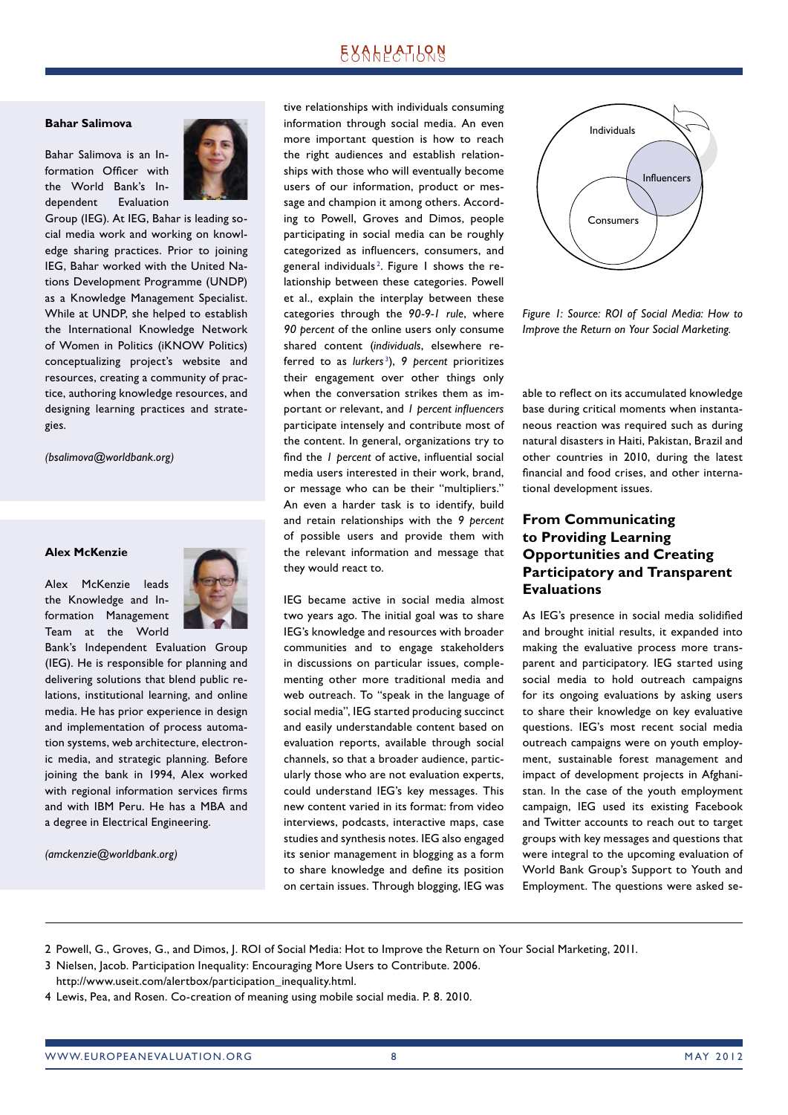### **EXALPATLQN**

#### **Bahar Salimova**

Bahar Salimova is an Information Officer with the World Bank's Independent Evaluation



Group (IEG). At IEG, Bahar is leading social media work and working on knowledge sharing practices. Prior to joining IEG, Bahar worked with the United Nations Development Programme (UNDP) as a Knowledge Management Specialist. While at UNDP, she helped to establish the International Knowledge Network of Women in Politics (iKNOW Politics) conceptualizing project's website and resources, creating a community of practice, authoring knowledge resources, and designing learning practices and strategies.

*(bsalimova@worldbank.org)*

#### **Alex McKenzie**

Alex McKenzie leads the Knowledge and Information Management Team at the World



Bank's Independent Evaluation Group (IEG). He is responsible for planning and delivering solutions that blend public relations, institutional learning, and online media. He has prior experience in design and implementation of process automation systems, web architecture, electronic media, and strategic planning. Before joining the bank in 1994, Alex worked with regional information services firms and with IBM Peru. He has a MBA and a degree in Electrical Engineering.

*(amckenzie@worldbank.org)* 

tive relationships with individuals consuming information through social media. An even more important question is how to reach the right audiences and establish relationships with those who will eventually become users of our information, product or message and champion it among others. According to Powell, Groves and Dimos, people participating in social media can be roughly categorized as influencers, consumers, and general individuals $^{\rm 2}$ . Figure 1 shows the relationship between these categories. Powell et al., explain the interplay between these categories through the *90-9-1 rule*, where *90 percent* of the online users only consume shared content (*individuals*, elsewhere referred to as *lurkers* <sup>3</sup> ), *9 percent* prioritizes their engagement over other things only when the conversation strikes them as important or relevant, and *l* percent influencers participate intensely and contribute most of the content. In general, organizations try to find the *l* percent of active, influential social media users interested in their work, brand, or message who can be their "multipliers." An even a harder task is to identify, build and retain relationships with the *9 percent*  of possible users and provide them with the relevant information and message that they would react to.

IEG became active in social media almost two years ago. The initial goal was to share IEG's knowledge and resources with broader communities and to engage stakeholders in discussions on particular issues, complementing other more traditional media and web outreach. To "speak in the language of social media", IEG started producing succinct and easily understandable content based on evaluation reports, available through social channels, so that a broader audience, particularly those who are not evaluation experts, could understand IEG's key messages. This new content varied in its format: from video interviews, podcasts, interactive maps, case studies and synthesis notes. IEG also engaged its senior management in blogging as a form to share knowledge and define its position on certain issues. Through blogging, IEG was



*Figure 1: Source: ROI of Social Media: How to Improve the Return on Your Social Marketing.*

able to reflect on its accumulated knowledge base during critical moments when instantaneous reaction was required such as during natural disasters in Haiti, Pakistan, Brazil and other countries in 2010, during the latest financial and food crises, and other international development issues.

### **From Communicating to Providing Learning Opportunities and Creating Participatory and Transparent Evaluations**

As IEG's presence in social media solidified and brought initial results, it expanded into making the evaluative process more transparent and participatory. IEG started using social media to hold outreach campaigns for its ongoing evaluations by asking users to share their knowledge on key evaluative questions. IEG's most recent social media outreach campaigns were on youth employment, sustainable forest management and impact of development projects in Afghanistan. In the case of the youth employment campaign, IEG used its existing Facebook and Twitter accounts to reach out to target groups with key messages and questions that were integral to the upcoming evaluation of World Bank Group's Support to Youth and Employment. The questions were asked se-

2 Powell, G., Groves, G., and Dimos, J. ROI of Social Media: Hot to Improve the Return on Your Social Marketing, 2011.

- 3 Nielsen, Jacob. Participation Inequality: Encouraging More Users to Contribute. 2006.
- http://www.useit.com/alertbox/participation\_inequality.html.
- 4 Lewis, Pea, and Rosen. Co-creation of meaning using mobile social media. P. 8. 2010.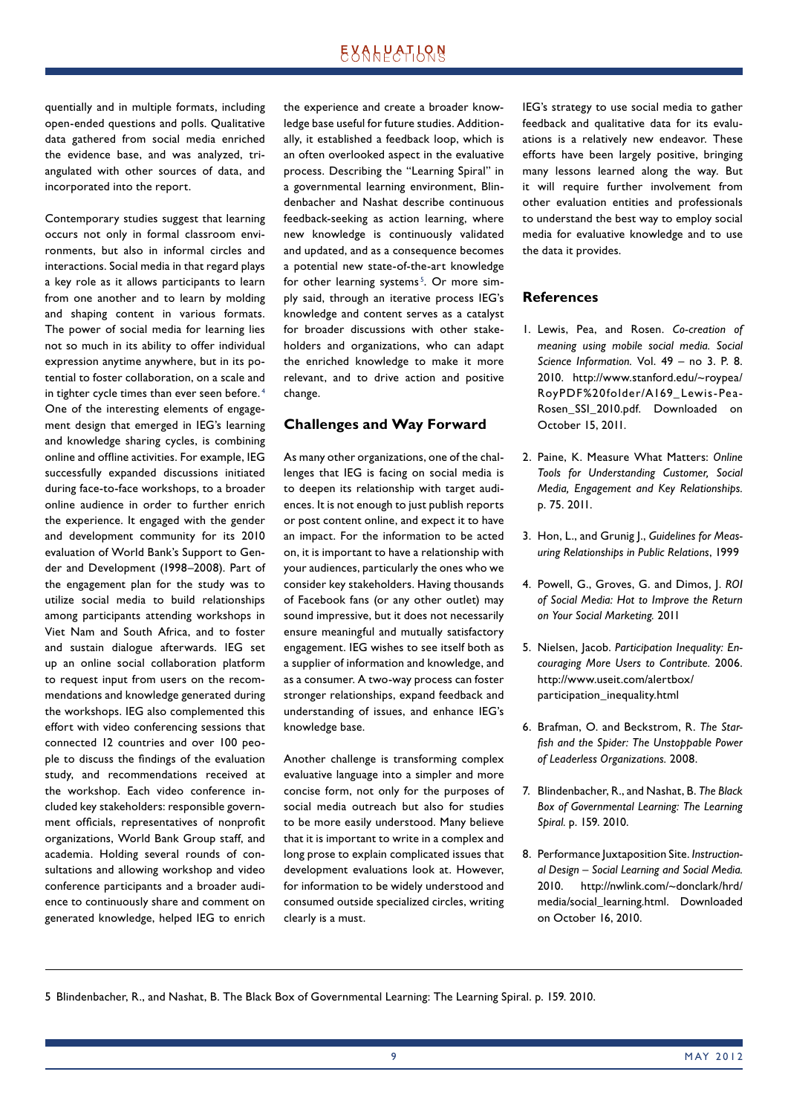### **EXALPATLQN**

quentially and in multiple formats, including open-ended questions and polls. Qualitative data gathered from social media enriched the evidence base, and was analyzed, triangulated with other sources of data, and incorporated into the report.

Contemporary studies suggest that learning occurs not only in formal classroom environments, but also in informal circles and interactions. Social media in that regard plays a key role as it allows participants to learn from one another and to learn by molding and shaping content in various formats. The power of social media for learning lies not so much in its ability to offer individual expression anytime anywhere, but in its potential to foster collaboration, on a scale and in tighter cycle times than ever seen before. 4 One of the interesting elements of engagement design that emerged in IEG's learning and knowledge sharing cycles, is combining online and offline activities. For example, IEG successfully expanded discussions initiated during face-to-face workshops, to a broader online audience in order to further enrich the experience. It engaged with the gender and development community for its 2010 evaluation of World Bank's Support to Gender and Development (1998–2008). Part of the engagement plan for the study was to utilize social media to build relationships among participants attending workshops in Viet Nam and South Africa, and to foster and sustain dialogue afterwards. IEG set up an online social collaboration platform to request input from users on the recommendations and knowledge generated during the workshops. IEG also complemented this effort with video conferencing sessions that connected 12 countries and over 100 people to discuss the findings of the evaluation study, and recommendations received at the workshop. Each video conference included key stakeholders: responsible government officials, representatives of nonprofit organizations, World Bank Group staff, and academia. Holding several rounds of consultations and allowing workshop and video conference participants and a broader audience to continuously share and comment on generated knowledge, helped IEG to enrich the experience and create a broader knowledge base useful for future studies. Additionally, it established a feedback loop, which is an often overlooked aspect in the evaluative process. Describing the "Learning Spiral" in a governmental learning environment, Blindenbacher and Nashat describe continuous feedback-seeking as action learning, where new knowledge is continuously validated and updated, and as a consequence becomes a potential new state-of-the-art knowledge for other learning systems<sup>5</sup>. Or more simply said, through an iterative process IEG's knowledge and content serves as a catalyst for broader discussions with other stakeholders and organizations, who can adapt the enriched knowledge to make it more relevant, and to drive action and positive change.

#### **Challenges and Way Forward**

As many other organizations, one of the challenges that IEG is facing on social media is to deepen its relationship with target audiences. It is not enough to just publish reports or post content online, and expect it to have an impact. For the information to be acted on, it is important to have a relationship with your audiences, particularly the ones who we consider key stakeholders. Having thousands of Facebook fans (or any other outlet) may sound impressive, but it does not necessarily ensure meaningful and mutually satisfactory engagement. IEG wishes to see itself both as a supplier of information and knowledge, and as a consumer. A two-way process can foster stronger relationships, expand feedback and understanding of issues, and enhance IEG's knowledge base.

Another challenge is transforming complex evaluative language into a simpler and more concise form, not only for the purposes of social media outreach but also for studies to be more easily understood. Many believe that it is important to write in a complex and long prose to explain complicated issues that development evaluations look at. However, for information to be widely understood and consumed outside specialized circles, writing clearly is a must.

IEG's strategy to use social media to gather feedback and qualitative data for its evaluations is a relatively new endeavor. These efforts have been largely positive, bringing many lessons learned along the way. But it will require further involvement from other evaluation entities and professionals to understand the best way to employ social media for evaluative knowledge and to use the data it provides.

### **References**

- 1. Lewis, Pea, and Rosen. *Co-creation of meaning using mobile social media. Social Science Information.* Vol. 49 – no 3. P. 8. 2010. http://www.stanford.edu/~roypea/ RoyPDF%20folder/A169\_Lewis-Pea-Rosen\_SSI\_2010.pdf. Downloaded on October 15, 2011.
- 2. Paine, K. Measure What Matters: *Online Tools for Understanding Customer, Social Media, Engagement and Key Relationships.* p. 75. 2011.
- 3. Hon, L., and Grunig J., *Guidelines for Measuring Relationships in Public Relations*, 1999
- 4. Powell, G., Groves, G. and Dimos, J. *ROI of Social Media: Hot to Improve the Return on Your Social Marketing.* 2011
- 5. Nielsen, Jacob. *Participation Inequality: Encouraging More Users to Contribute.* 2006. http://www.useit.com/alertbox/ participation\_inequality.html
- 6. Brafman, O. and Beckstrom, R. *The Starfi sh and the Spider: The Unstoppable Power of Leaderless Organizations.* 2008.
- 7. Blindenbacher, R., and Nashat, B. *The Black Box of Governmental Learning: The Learning Spiral.* p. 159. 2010.
- 8. Performance Juxtaposition Site. *Instructional Design – Social Learning and Social Media.* 2010. http://nwlink.com/~donclark/hrd/ media/social\_learning.html. Downloaded on October 16, 2010.

5 Blindenbacher, R., and Nashat, B. The Black Box of Governmental Learning: The Learning Spiral. p. 159. 2010.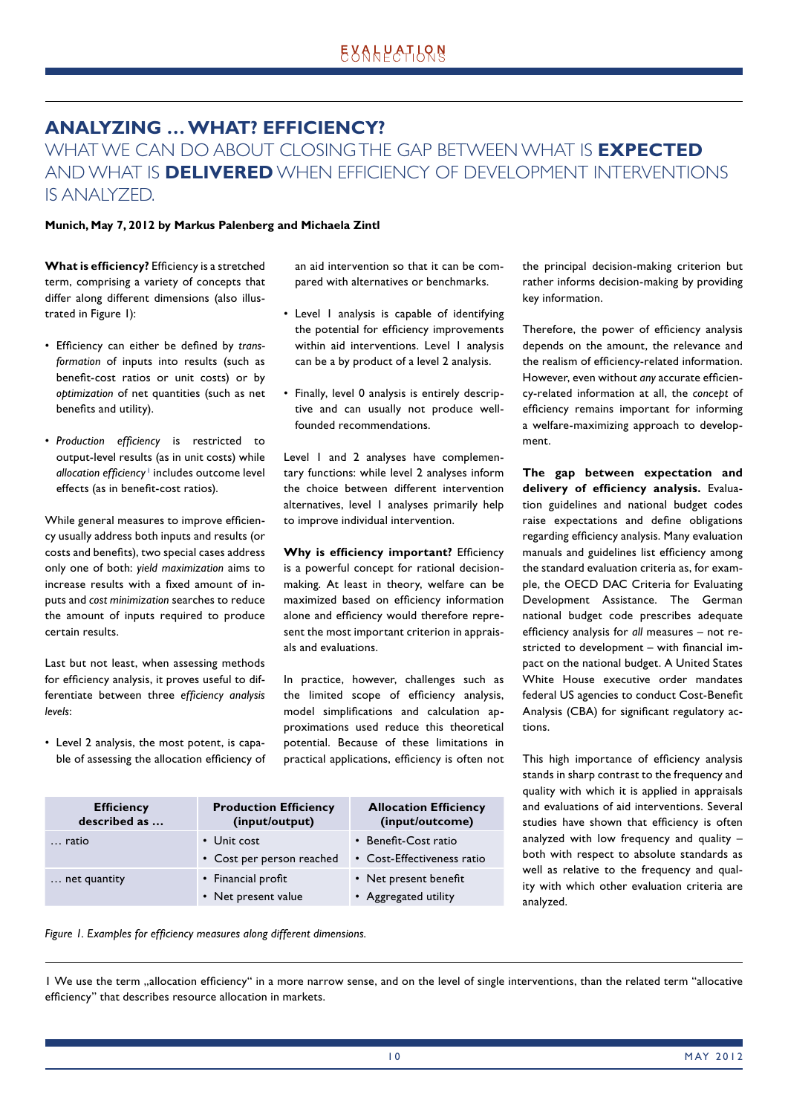# **ANALYZING … WHAT? EFFICIENCY?**

WHAT WE CAN DO ABOUT CLOSING THE GAP BETWEEN WHAT IS **EXPECTED** AND WHAT IS **DELIVERED** WHEN EFFICIENCY OF DEVELOPMENT INTERVENTIONS IS ANALYZED.

### **Munich, May 7, 2012 by Markus Palenberg and Michaela Zintl**

**What is efficiency?** Efficiency is a stretched term, comprising a variety of concepts that differ along different dimensions (also illustrated in Figure 1):

- Efficiency can either be defined by *transformation* of inputs into results (such as benefit-cost ratios or unit costs) or by *optimization* of net quantities (such as net benefits and utility).
- Production efficiency is restricted to output-level results (as in unit costs) while allocation efficiency <sup>1</sup> includes outcome level effects (as in benefit-cost ratios).

While general measures to improve efficiency usually address both inputs and results (or costs and benefits), two special cases address only one of both: *yield maximization* aims to increase results with a fixed amount of inputs and *cost minimization* searches to reduce the amount of inputs required to produce certain results.

Last but not least, when assessing methods for efficiency analysis, it proves useful to differentiate between three *efficiency analysis levels*:

• Level 2 analysis, the most potent, is capable of assessing the allocation efficiency of an aid intervention so that it can be compared with alternatives or benchmarks.

- Level 1 analysis is capable of identifying the potential for efficiency improvements within aid interventions. Level 1 analysis can be a by product of a level 2 analysis.
- Finally, level 0 analysis is entirely descriptive and can usually not produce wellfounded recommendations.

Level 1 and 2 analyses have complementary functions: while level 2 analyses inform the choice between different intervention alternatives, level 1 analyses primarily help to improve individual intervention.

**Why is efficiency important?** Efficiency is a powerful concept for rational decisionmaking. At least in theory, welfare can be maximized based on efficiency information alone and efficiency would therefore represent the most important criterion in appraisals and evaluations.

In practice, however, challenges such as the limited scope of efficiency analysis, model simplifications and calculation approximations used reduce this theoretical potential. Because of these limitations in practical applications, efficiency is often not

| <b>Efficiency</b><br>described as | <b>Production Efficiency</b><br>(input/output) | <b>Allocation Efficiency</b><br>(input/outcome)    |
|-----------------------------------|------------------------------------------------|----------------------------------------------------|
| ratio                             | • Unit cost<br>• Cost per person reached       | • Benefit-Cost ratio<br>• Cost-Effectiveness ratio |
| net quantity                      | • Financial profit<br>• Net present value      | • Net present benefit<br>• Aggregated utility      |

the principal decision-making criterion but rather informs decision-making by providing key information.

Therefore, the power of efficiency analysis depends on the amount, the relevance and the realism of efficiency-related information. However, even without *any* accurate efficiency-related information at all, the *concept* of efficiency remains important for informing a welfare-maximizing approach to development.

**The gap between expectation and**  delivery of efficiency analysis. Evaluation guidelines and national budget codes raise expectations and define obligations regarding efficiency analysis. Many evaluation manuals and guidelines list efficiency among the standard evaluation criteria as, for example, the OECD DAC Criteria for Evaluating Development Assistance. The German national budget code prescribes adequate efficiency analysis for *all* measures – not restricted to development  $-$  with financial impact on the national budget. A United States White House executive order mandates federal US agencies to conduct Cost-Benefit Analysis (CBA) for significant regulatory actions.

This high importance of efficiency analysis stands in sharp contrast to the frequency and quality with which it is applied in appraisals and evaluations of aid interventions. Several studies have shown that efficiency is often analyzed with low frequency and quality – both with respect to absolute standards as well as relative to the frequency and quality with which other evaluation criteria are analyzed.



<sup>1</sup> We use the term allocation efficiency" in a more narrow sense, and on the level of single interventions, than the related term "allocative" efficiency" that describes resource allocation in markets.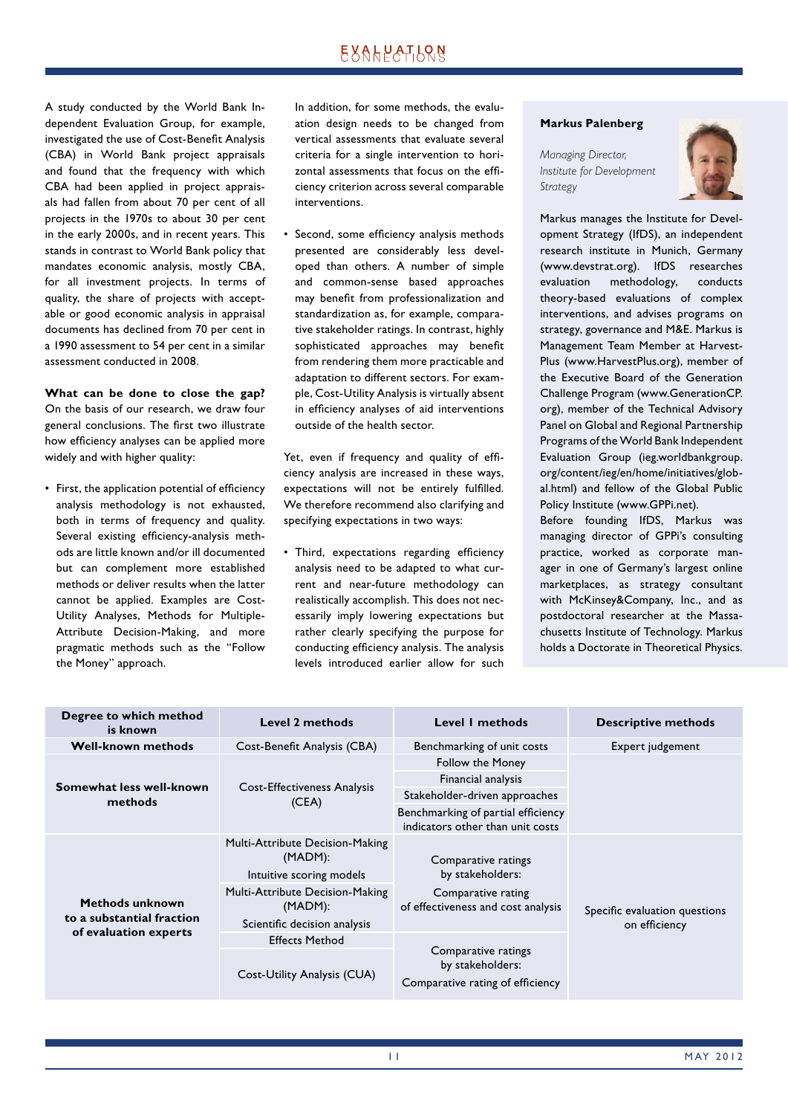# EXALPATLRN

A study conducted by the World Bank Independent Evaluation Group, for example, investigated the use of Cost-Benefit Analysis (CBA) in World Bank project appraisals and found that the frequency with which CBA had been applied in project appraisals had fallen from about 70 per cent of all projects in the 1970s to about 30 per cent in the early 2000s, and in recent years. This stands in contrast to World Bank policy that mandates economic analysis, mostly CBA, for all investment projects. In terms of quality, the share of projects with acceptable or good economic analysis in appraisal documents has declined from 70 per cent in a 1990 assessment to 54 per cent in a similar assessment conducted in 2008.

**What can be done to close the gap?** On the basis of our research, we draw four general conclusions. The first two illustrate how efficiency analyses can be applied more widely and with higher quality:

• First, the application potential of efficiency analysis methodology is not exhausted, both in terms of frequency and quality. Several existing efficiency-analysis methods are little known and/or ill documented but can complement more established methods or deliver results when the latter cannot be applied. Examples are Cost-Utility Analyses, Methods for Multiple-Attribute Decision-Making, and more pragmatic methods such as the "Follow the Money" approach.

 In addition, for some methods, the evaluation design needs to be changed from vertical assessments that evaluate several criteria for a single intervention to horizontal assessments that focus on the efficiency criterion across several comparable interventions.

Second, some efficiency analysis methods presented are considerably less developed than others. A number of simple and common-sense based approaches may benefit from professionalization and standardization as, for example, comparative stakeholder ratings. In contrast, highly sophisticated approaches may benefit from rendering them more practicable and adaptation to different sectors. For example, Cost-Utility Analysis is virtually absent in efficiency analyses of aid interventions outside of the health sector.

Yet, even if frequency and quality of efficiency analysis are increased in these ways, expectations will not be entirely fulfilled. We therefore recommend also clarifying and specifying expectations in two ways:

• Third, expectations regarding efficiency analysis need to be adapted to what current and near-future methodology can realistically accomplish. This does not necessarily imply lowering expectations but rather clearly specifying the purpose for conducting efficiency analysis. The analysis levels introduced earlier allow for such

#### **Markus Palenberg**

*Managing Director, Institute for Development Strategy*



Markus manages the Institute for Development Strategy (IfDS), an independent research institute in Munich, Germany (www.devstrat.org). IfDS researches evaluation methodology, conducts theory-based evaluations of complex interventions, and advises programs on strategy, governance and M&E. Markus is Management Team Member at Harvest-Plus (www.HarvestPlus.org), member of the Executive Board of the Generation Challenge Program (www.GenerationCP. org), member of the Technical Advisory Panel on Global and Regional Partnership Programs of the World Bank Independent Evaluation Group (ieg.worldbankgroup. org/content/ieg/en/home/initiatives/global.html) and fellow of the Global Public Policy Institute (www.GPPi.net).

Before founding IfDS, Markus was managing director of GPPi's consulting practice, worked as corporate manager in one of Germany's largest online marketplaces, as strategy consultant with McKinsey&Company, Inc., and as postdoctoral researcher at the Massachusetts Institute of Technology. Markus holds a Doctorate in Theoretical Physics.

| Degree to which method<br>is known                                    | <b>Level 2 methods</b>                                      | Level I methods                                                             | <b>Descriptive methods</b>    |
|-----------------------------------------------------------------------|-------------------------------------------------------------|-----------------------------------------------------------------------------|-------------------------------|
| <b>Well-known methods</b>                                             | Cost-Benefit Analysis (CBA)                                 | Benchmarking of unit costs                                                  | Expert judgement              |
| Somewhat less well-known<br>methods                                   | Cost-Effectiveness Analysis<br>(CEA)                        | Follow the Money                                                            |                               |
|                                                                       |                                                             | Financial analysis                                                          |                               |
|                                                                       |                                                             | Stakeholder-driven approaches                                               |                               |
|                                                                       |                                                             | Benchmarking of partial efficiency<br>indicators other than unit costs      |                               |
| Methods unknown<br>to a substantial fraction<br>of evaluation experts | Multi-Attribute Decision-Making<br>(MADM):                  | Comparative ratings<br>by stakeholders:                                     |                               |
|                                                                       | Intuitive scoring models<br>Multi-Attribute Decision-Making |                                                                             |                               |
|                                                                       | (MADM):                                                     | Comparative rating<br>of effectiveness and cost analysis                    | Specific evaluation questions |
|                                                                       | Scientific decision analysis                                |                                                                             | on efficiency                 |
|                                                                       | <b>Effects Method</b>                                       | Comparative ratings<br>by stakeholders:<br>Comparative rating of efficiency |                               |
|                                                                       | Cost-Utility Analysis (CUA)                                 |                                                                             |                               |